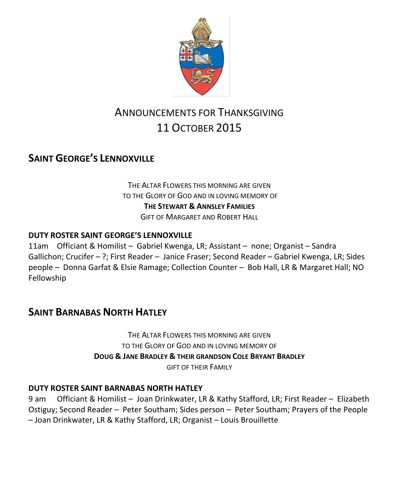

# ANNOUNCEMENTS FOR THANKSGIVING 11 OCTOBER 2015

## **SAINT GEORGE'S LENNOXVILLE**

THE ALTAR FLOWERS THIS MORNING ARE GIVEN TO THE GLORY OF GOD AND IN LOVING MEMORY OF **THE STEWART & ANNSLEY FAMILIES** GIFT OF MARGARET AND ROBERT HALL

#### **DUTY ROSTER SAINT GEORGE'S LENNOXVILLE**

11am Officiant & Homilist – Gabriel Kwenga, LR; Assistant – none; Organist – Sandra Gallichon; Crucifer – ?; First Reader – Janice Fraser; Second Reader – Gabriel Kwenga, LR; Sides people – Donna Garfat & Elsie Ramage; Collection Counter – Bob Hall, LR & Margaret Hall; NO Fellowship

### **SAINT BARNABAS NORTH HATLEY**

THE ALTAR FLOWERS THIS MORNING ARE GIVEN TO THE GLORY OF GOD AND IN LOVING MEMORY OF **DOUG & JANE BRADLEY & THEIR GRANDSON COLE BRYANT BRADLEY** GIFT OF THEIR FAMILY

#### **DUTY ROSTER SAINT BARNABAS NORTH HATLEY**

9 am Officiant & Homilist – Joan Drinkwater, LR & Kathy Stafford, LR; First Reader – Elizabeth Ostiguy; Second Reader – Peter Southam; Sides person – Peter Southam; Prayers of the People – Joan Drinkwater, LR & Kathy Stafford, LR; Organist – Louis Brouillette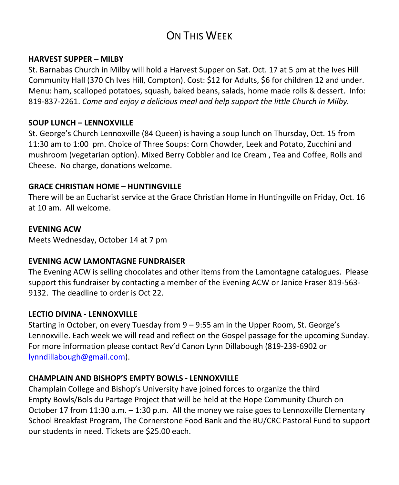# ON THIS WFFK

#### **HARVEST SUPPER – MILBY**

St. Barnabas Church in Milby will hold a Harvest Supper on Sat. Oct. 17 at 5 pm at the Ives Hill Community Hall (370 Ch Ives Hill, Compton). Cost: \$12 for Adults, \$6 for children 12 and under. Menu: ham, scalloped potatoes, squash, baked beans, salads, home made rolls & dessert. Info: 819-837-2261. *Come and enjoy a delicious meal and help support the little Church in Milby.*

#### **SOUP LUNCH – LENNOXVILLE**

St. George's Church Lennoxville (84 Queen) is having a soup lunch on Thursday, Oct. 15 from 11:30 am to 1:00 pm. Choice of Three Soups: Corn Chowder, Leek and Potato, Zucchini and mushroom (vegetarian option). Mixed Berry Cobbler and Ice Cream , Tea and Coffee, Rolls and Cheese. No charge, donations welcome.

#### **GRACE CHRISTIAN HOME – HUNTINGVILLE**

There will be an Eucharist service at the Grace Christian Home in Huntingville on Friday, Oct. 16 at 10 am. All welcome.

#### **EVENING ACW**

Meets Wednesday, October 14 at 7 pm

#### **EVENING ACW LAMONTAGNE FUNDRAISER**

The Evening ACW is selling chocolates and other items from the Lamontagne catalogues. Please support this fundraiser by contacting a member of the Evening ACW or Janice Fraser 819-563- 9132. The deadline to order is Oct 22.

#### **LECTIO DIVINA - LENNOXVILLE**

Starting in October, on every Tuesday from 9 – 9:55 am in the Upper Room, St. George's Lennoxville. Each week we will read and reflect on the Gospel passage for the upcoming Sunday. For more information please contact Rev'd Canon Lynn Dillabough (819-239-6902 or [lynndillabough@gmail.com\)](mailto:lynndillabough@gmail.com).

#### **CHAMPLAIN AND BISHOP'S EMPTY BOWLS - LENNOXVILLE**

Champlain College and Bishop's University have joined forces to organize the third Empty Bowls/Bols du Partage Project that will be held at the Hope Community Church on October 17 from 11:30 a.m. – 1:30 p.m. All the money we raise goes to Lennoxville Elementary School Breakfast Program, The Cornerstone Food Bank and the BU/CRC Pastoral Fund to support our students in need. Tickets are \$25.00 each.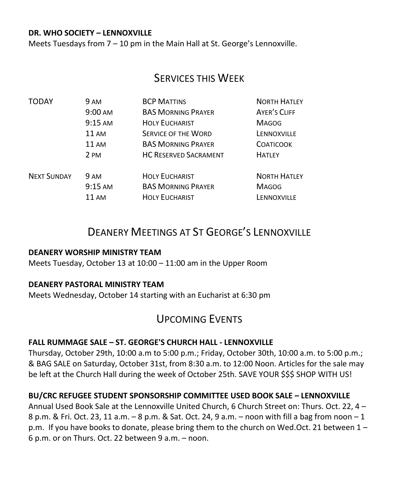#### **DR. WHO SOCIETY – LENNOXVILLE**

Meets Tuesdays from 7 – 10 pm in the Main Hall at St. George's Lennoxville.

### SERVICES THIS WEEK

| <b>TODAY</b>       | <b>9 AM</b>       | <b>BCP MATTINS</b>           | <b>NORTH HATLEY</b> |
|--------------------|-------------------|------------------------------|---------------------|
|                    | $9:00 \text{ AM}$ | <b>BAS MORNING PRAYER</b>    | <b>AYER'S CLIFF</b> |
|                    | $9:15$ AM         | <b>HOLY EUCHARIST</b>        | <b>MAGOG</b>        |
|                    | 11AM              | <b>SERVICE OF THE WORD</b>   | LENNOXVILLE         |
|                    | $11 \text{ AM}$   | <b>BAS MORNING PRAYER</b>    | <b>COATICOOK</b>    |
|                    | 2 PM              | <b>HC RESERVED SACRAMENT</b> | <b>HATLEY</b>       |
| <b>NEXT SUNDAY</b> | <b>9 AM</b>       | <b>HOLY EUCHARIST</b>        | <b>NORTH HATLEY</b> |
|                    | $9:15$ AM         | <b>BAS MORNING PRAYER</b>    | <b>MAGOG</b>        |
|                    | 11 AM             | <b>HOLY EUCHARIST</b>        | LENNOXVILLE         |

## DEANERY MEETINGS AT ST GEORGE'S LENNOXVILLE

#### **DEANERY WORSHIP MINISTRY TEAM**

Meets Tuesday, October 13 at 10:00 – 11:00 am in the Upper Room

#### **DEANERY PASTORAL MINISTRY TEAM**

Meets Wednesday, October 14 starting with an Eucharist at 6:30 pm

## UPCOMING EVENTS

#### **FALL RUMMAGE SALE – ST. GEORGE'S CHURCH HALL - LENNOXVILLE**

Thursday, October 29th, 10:00 a.m to 5:00 p.m.; Friday, October 30th, 10:00 a.m. to 5:00 p.m.; & BAG SALE on Saturday, October 31st, from 8:30 a.m. to 12:00 Noon. Articles for the sale may be left at the Church Hall during the week of October 25th. SAVE YOUR \$\$\$ SHOP WITH US!

#### **BU/CRC REFUGEE STUDENT SPONSORSHIP COMMITTEE USED BOOK SALE – LENNOXVILLE**

Annual Used Book Sale at the Lennoxville United Church, 6 Church Street on: Thurs. Oct. 22, 4 – 8 p.m. & Fri. Oct. 23, 11 a.m. – 8 p.m. & Sat. Oct. 24, 9 a.m. – noon with fill a bag from noon – 1 p.m. If you have books to donate, please bring them to the church on Wed.Oct. 21 between 1 – 6 p.m. or on Thurs. Oct. 22 between 9 a.m. – noon.